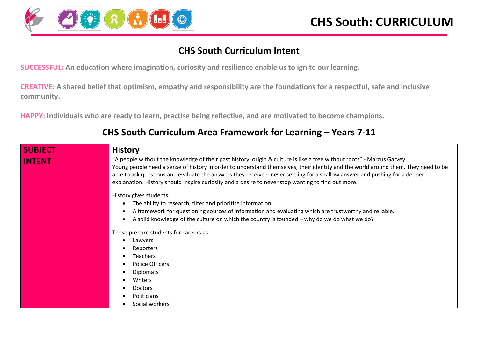

#### **CHS South Curriculum Intent**

**SUCCESSFUL: An education where imagination, curiosity and resilience enable us to ignite our learning.**

**CREATIVE: A shared belief that optimism, empathy and responsibility are the foundations for a respectful, safe and inclusive community.**

**HAPPY: Individuals who are ready to learn, practise being reflective, and are motivated to become champions.**

| <b>SUBJECT</b> | <b>History</b>                                                                                                                                                                                                                                                                                                                                                                                                                                                                                 |
|----------------|------------------------------------------------------------------------------------------------------------------------------------------------------------------------------------------------------------------------------------------------------------------------------------------------------------------------------------------------------------------------------------------------------------------------------------------------------------------------------------------------|
| <b>INTENT</b>  | "A people without the knowledge of their past history, origin & culture is like a tree without roots" - Marcus Garvey<br>Young people need a sense of history in order to understand themselves, their identity and the world around them. They need to be<br>able to ask questions and evaluate the answers they receive – never settling for a shallow answer and pushing for a deeper<br>explanation. History should inspire curiosity and a desire to never stop wanting to find out more. |
|                | History gives students;<br>The ability to research, filter and prioritise information.<br>A framework for questioning sources of information and evaluating which are trustworthy and reliable.<br>A solid knowledge of the culture on which the country is founded - why do we do what we do?                                                                                                                                                                                                 |
|                | These prepare students for careers as.<br>Lawyers<br>Reporters<br><b>Teachers</b><br><b>Police Officers</b><br><b>Diplomats</b><br>Writers<br><b>Doctors</b><br>Politicians<br>Social workers                                                                                                                                                                                                                                                                                                  |

#### **CHS South Curriculum Area Framework for Learning – Years 7-11**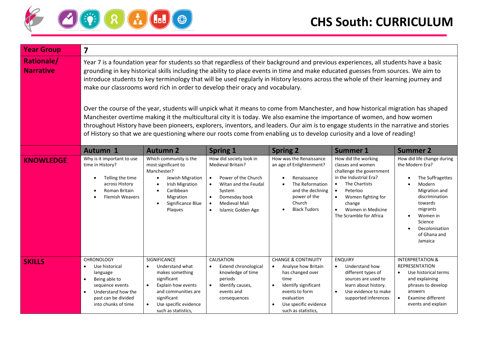

| <b>Year Group</b>                     | $\overline{\mathbf{z}}$                                                                                                                                                                                                                                                                                                                                                                                                                                                                                                                                                                                                                                                                                                                                                                                                                                                                                                                                                                                                              |                                                                                                                                                                                                |                                                                                                                                                                                                                                |                                                                                                                                                                                                        |                                                                                                                                                                                                                                                                 |                                                                                                                                                                                                           |
|---------------------------------------|--------------------------------------------------------------------------------------------------------------------------------------------------------------------------------------------------------------------------------------------------------------------------------------------------------------------------------------------------------------------------------------------------------------------------------------------------------------------------------------------------------------------------------------------------------------------------------------------------------------------------------------------------------------------------------------------------------------------------------------------------------------------------------------------------------------------------------------------------------------------------------------------------------------------------------------------------------------------------------------------------------------------------------------|------------------------------------------------------------------------------------------------------------------------------------------------------------------------------------------------|--------------------------------------------------------------------------------------------------------------------------------------------------------------------------------------------------------------------------------|--------------------------------------------------------------------------------------------------------------------------------------------------------------------------------------------------------|-----------------------------------------------------------------------------------------------------------------------------------------------------------------------------------------------------------------------------------------------------------------|-----------------------------------------------------------------------------------------------------------------------------------------------------------------------------------------------------------|
| <b>Rationale/</b><br><b>Narrative</b> | Year 7 is a foundation year for students so that regardless of their background and previous experiences, all students have a basic<br>grounding in key historical skills including the ability to place events in time and make educated guesses from sources. We aim to<br>introduce students to key terminology that will be used regularly in History lessons across the whole of their learning journey and<br>make our classrooms word rich in order to develop their oracy and vocabulary.<br>Over the course of the year, students will unpick what it means to come from Manchester, and how historical migration has shaped<br>Manchester overtime making it the multicultural city it is today. We also examine the importance of women, and how women<br>throughout History have been pioneers, explorers, inventors, and leaders. Our aim is to engage students in the narrative and stories<br>of History so that we are questioning where our roots come from enabling us to develop curiosity and a love of reading! |                                                                                                                                                                                                |                                                                                                                                                                                                                                |                                                                                                                                                                                                        |                                                                                                                                                                                                                                                                 |                                                                                                                                                                                                           |
|                                       | Autumn 1                                                                                                                                                                                                                                                                                                                                                                                                                                                                                                                                                                                                                                                                                                                                                                                                                                                                                                                                                                                                                             | <b>Autumn 2</b>                                                                                                                                                                                | <b>Spring 1</b>                                                                                                                                                                                                                | <b>Spring 2</b>                                                                                                                                                                                        | <b>Summer 1</b>                                                                                                                                                                                                                                                 | <b>Summer 2</b>                                                                                                                                                                                           |
| <b>KNOWLEDGE</b>                      | Why is it important to use<br>time in History?<br>Telling the time<br>across History<br>Roman Britain<br>Flemish Weavers                                                                                                                                                                                                                                                                                                                                                                                                                                                                                                                                                                                                                                                                                                                                                                                                                                                                                                             | Which community is the<br>most significant to<br>Manchester?<br>Jewish Migration<br>$\bullet$<br><b>Irish Migration</b><br>Caribbean<br>$\bullet$<br>Migration<br>Significance Blue<br>Plaques | How did society look in<br>Medieval Britain?<br>Power of the Church<br>$\bullet$<br>Witan and the Feudal<br>$\bullet$<br>System<br>Domesday book<br>$\bullet$<br>Medieval Mali<br>$\bullet$<br>Islamic Golden Age<br>$\bullet$ | How was the Renaissance<br>an age of Enlightenment?<br>Renaissance<br>The Reformation<br>and the declining<br>power of the<br>Church<br><b>Black Tudors</b><br>$\bullet$                               | How did the working<br>classes and women<br>challenge the government<br>in the Industrial Era?<br>The Chartists<br>$\bullet$<br>Peterloo<br>$\bullet$<br>Women fighting for<br>$\bullet$<br>change<br>Women in Medicine<br>$\bullet$<br>The Scramble for Africa | How did life change during<br>the Modern Era?<br>The Suffragettes<br>Modern<br>Migration and<br>discrimination<br>towards<br>migrants<br>Women in<br>Science<br>Decolonisation<br>of Ghana and<br>Jamaica |
| <b>SKILLS</b>                         | <b>CHRONOLOGY</b><br>Use historical<br>$\bullet$<br>language<br>Being able to<br>$\bullet$<br>sequence events<br>Understand how the<br>$\bullet$<br>past can be divided<br>into chunks of time                                                                                                                                                                                                                                                                                                                                                                                                                                                                                                                                                                                                                                                                                                                                                                                                                                       | SIGNIFICANCE<br>$\bullet$<br>Understand what<br>makes something<br>significant<br>Explain how events<br>and communities are<br>significant<br>Use specific evidence<br>such as statistics,     | CAUSATION<br><b>Extend chronological</b><br>knowledge of time<br>periods<br>Identify causes,<br>$\bullet$<br>events and<br>consequences                                                                                        | <b>CHANGE &amp; CONTINUITY</b><br>Analyse how Britain<br>$\bullet$<br>has changed over<br>time<br>Identify significant<br>events to form<br>evaluation<br>Use specific evidence<br>such as statistics, | <b>ENQUIRY</b><br>$\bullet$<br>Understand how<br>different types of<br>sources are used to<br>learn about history.<br>Use evidence to make<br>$\bullet$<br>supported inferences                                                                                 | <b>INTERPRETATION &amp;</b><br><b>REPRESENTATION</b><br>Use historical terms<br>$\bullet$<br>and explaining<br>phrases to develop<br>answers<br>Examine different<br>events and explain                   |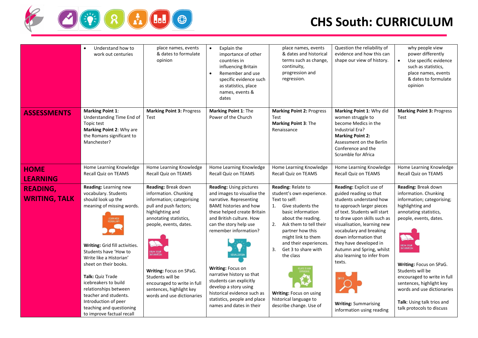

|                                         | Understand how to<br>work out centuries                                                                                                                                                                                                                                                                                                                                                                                   | place names, events<br>& dates to formulate<br>opinion                                                                                                                                                                                                                                                                                           | Explain the<br>$\bullet$<br>importance of other<br>countries in<br>influencing Britain<br>Remember and use<br>$\bullet$<br>specific evidence such<br>as statistics, place<br>names, events &<br>dates                                                                                                                                                                                                                                             | place names, events<br>& dates and historical<br>terms such as change,<br>continuity,<br>progression and<br>regression.                                                                                                                                                                                                                                              | Question the reliability of<br>evidence and how this can<br>shape our view of history.                                                                                                                                                                                                                                                                                                                                   | why people view<br>power differently<br>Use specific evidence<br>such as statistics,<br>place names, events<br>& dates to formulate<br>opinion                                                                                                                                                                                                                                                          |
|-----------------------------------------|---------------------------------------------------------------------------------------------------------------------------------------------------------------------------------------------------------------------------------------------------------------------------------------------------------------------------------------------------------------------------------------------------------------------------|--------------------------------------------------------------------------------------------------------------------------------------------------------------------------------------------------------------------------------------------------------------------------------------------------------------------------------------------------|---------------------------------------------------------------------------------------------------------------------------------------------------------------------------------------------------------------------------------------------------------------------------------------------------------------------------------------------------------------------------------------------------------------------------------------------------|----------------------------------------------------------------------------------------------------------------------------------------------------------------------------------------------------------------------------------------------------------------------------------------------------------------------------------------------------------------------|--------------------------------------------------------------------------------------------------------------------------------------------------------------------------------------------------------------------------------------------------------------------------------------------------------------------------------------------------------------------------------------------------------------------------|---------------------------------------------------------------------------------------------------------------------------------------------------------------------------------------------------------------------------------------------------------------------------------------------------------------------------------------------------------------------------------------------------------|
| <b>ASSESSMENTS</b>                      | <b>Marking Point 1:</b><br>Understanding Time End of<br>Topic test<br>Marking Point 2: Why are<br>the Romans significant to<br>Manchester?                                                                                                                                                                                                                                                                                | <b>Marking Point 3: Progress</b><br>Test                                                                                                                                                                                                                                                                                                         | Marking Point 1: The<br>Power of the Church                                                                                                                                                                                                                                                                                                                                                                                                       | <b>Marking Point 2: Progress</b><br>Test<br>Marking Point 3: The<br>Renaissance                                                                                                                                                                                                                                                                                      | Marking Point 1: Why did<br>women struggle to<br>become Medics in the<br>Industrial Era?<br><b>Marking Point 2:</b><br>Assessment on the Berlin<br>Conference and the<br>Scramble for Africa                                                                                                                                                                                                                             | <b>Marking Point 3: Progress</b><br>Test                                                                                                                                                                                                                                                                                                                                                                |
| <b>HOME</b><br><b>LEARNING</b>          | Home Learning Knowledge<br><b>Recall Quiz on TEAMS</b>                                                                                                                                                                                                                                                                                                                                                                    | Home Learning Knowledge<br><b>Recall Quiz on TEAMS</b>                                                                                                                                                                                                                                                                                           | Home Learning Knowledge<br><b>Recall Quiz on TEAMS</b>                                                                                                                                                                                                                                                                                                                                                                                            | Home Learning Knowledge<br><b>Recall Quiz on TEAMS</b>                                                                                                                                                                                                                                                                                                               | Home Learning Knowledge<br><b>Recall Quiz on TEAMS</b>                                                                                                                                                                                                                                                                                                                                                                   | Home Learning Knowledge<br><b>Recall Quiz on TEAMS</b>                                                                                                                                                                                                                                                                                                                                                  |
| <b>READING,</b><br><b>WRITING, TALK</b> | Reading: Learning new<br>vocabulary. Students<br>should look up the<br>meaning of missing words.<br>LEARN NEW<br>VOCABULARY<br>Writing: Grid fill activities.<br>Students have 'How to<br>Write like a Historian'<br>sheet on their books.<br>Talk: Quiz Trade<br>icebreakers to build<br>relationships between<br>teacher and students.<br>Introduction of peer<br>teaching and questioning<br>to improve factual recall | Reading: Break down<br>information. Chunking<br>information; categorising<br>pull and push factors;<br>highlighting and<br>annotating statistics,<br>people, events, dates.<br>BREAK DOWN<br>INFORMATION<br>Writing: Focus on SPaG.<br>Students will be<br>encouraged to write in full<br>sentences, highlight key<br>words and use dictionaries | <b>Reading: Using pictures</b><br>and images to visualise the<br>narrative. Representing<br>BAME histories and how<br>these helped create Britain<br>and British culture. How<br>can the story help use<br>remember information?<br>VISUALISATIO<br>Writing: Focus on<br>narrative history so that<br>students can explicitly<br>develop a story using<br>historical evidence such as<br>statistics, people and place<br>names and dates in their | Reading: Relate to<br>student's own experience.<br>Text to self:<br>Give students the<br>1.<br>basic information<br>about the reading.<br>Ask them to tell their<br>2.<br>partner how this<br>might link to them<br>and their experiences.<br>Get 3 to share with<br>3.<br>the class<br>Writing: Focus on using<br>historical language to<br>describe change. Use of | Reading: Explicit use of<br>guided reading so that<br>students understand how<br>to approach larger pieces<br>of text. Students will start<br>to draw upon skills such as<br>visualisation, learning new<br>vocabulary and breaking<br>down information that<br>they have developed in<br>Autumn and Spring, whilst<br>also learning to infer from<br>texts.<br><b>Writing: Summarising</b><br>information using reading | Reading: Break down<br>information. Chunking<br>information; categorising;<br>highlighting and<br>annotating statistics,<br>people, events, dates.<br><b>DE</b><br><b>BREAK DOWN<br/>INFORMATION</b><br>Writing: Focus on SPaG.<br>Students will be<br>encouraged to write in full<br>sentences, highlight key<br>words and use dictionaries<br>Talk: Using talk trios and<br>talk protocols to discuss |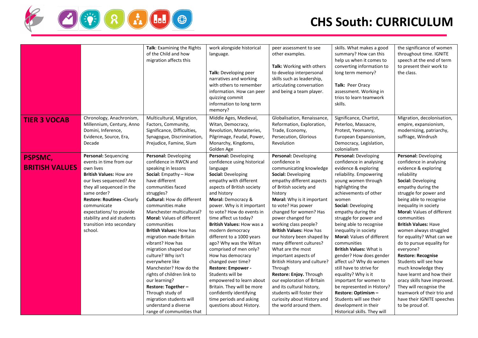

|                                         |                                                                                                                                                                                                                                                                                                                              | Talk: Examining the Rights<br>of the Child and how<br>migration affects this                                                                                                                                                                                                                                                                                                                                                                                                                                                                                                                                                                       | work alongside historical<br>language.<br>Talk: Developing peer<br>narratives and working<br>with others to remember<br>information. How can peer<br>quizzing commit<br>information to long term<br>memory?                                                                                                                                                                                                                                                                                                                                                                                                                               | peer assessment to see<br>other examples.<br>Talk: Working with others<br>to develop interpersonal<br>skills such as leadership,<br>articulating conversation<br>and being a team player.                                                                                                                                                                                                                                                                                                                                                                                                                                                                    | skills. What makes a good<br>summary? How can this<br>help us when it comes to<br>converting information to<br>long term memory?<br>Talk: Peer Oracy<br>assessment. Working in<br>trios to learn teamwork<br>skills.                                                                                                                                                                                                                                                                                                                                                                                                                                                       | the significance of women<br>throughout time. IGNITE<br>speech at the end of term<br>to present their work to<br>the class.                                                                                                                                                                                                                                                                                                                                                                                                                                                                                                                             |
|-----------------------------------------|------------------------------------------------------------------------------------------------------------------------------------------------------------------------------------------------------------------------------------------------------------------------------------------------------------------------------|----------------------------------------------------------------------------------------------------------------------------------------------------------------------------------------------------------------------------------------------------------------------------------------------------------------------------------------------------------------------------------------------------------------------------------------------------------------------------------------------------------------------------------------------------------------------------------------------------------------------------------------------------|-------------------------------------------------------------------------------------------------------------------------------------------------------------------------------------------------------------------------------------------------------------------------------------------------------------------------------------------------------------------------------------------------------------------------------------------------------------------------------------------------------------------------------------------------------------------------------------------------------------------------------------------|--------------------------------------------------------------------------------------------------------------------------------------------------------------------------------------------------------------------------------------------------------------------------------------------------------------------------------------------------------------------------------------------------------------------------------------------------------------------------------------------------------------------------------------------------------------------------------------------------------------------------------------------------------------|----------------------------------------------------------------------------------------------------------------------------------------------------------------------------------------------------------------------------------------------------------------------------------------------------------------------------------------------------------------------------------------------------------------------------------------------------------------------------------------------------------------------------------------------------------------------------------------------------------------------------------------------------------------------------|---------------------------------------------------------------------------------------------------------------------------------------------------------------------------------------------------------------------------------------------------------------------------------------------------------------------------------------------------------------------------------------------------------------------------------------------------------------------------------------------------------------------------------------------------------------------------------------------------------------------------------------------------------|
| <b>TIER 3 VOCAB</b>                     | Chronology, Anachronism,<br>Millennium, Century, Anno<br>Domini, Inference,<br>Evidence, Source, Era,<br>Decade                                                                                                                                                                                                              | Multicultural, Migration,<br>Factors, Community,<br>Significance, Difficulties,<br>Synagogue, Discrimination,<br>Prejudice, Famine, Slum                                                                                                                                                                                                                                                                                                                                                                                                                                                                                                           | Middle Ages, Medieval,<br>Witan, Democracy,<br>Revolution, Monasteries,<br>Pilgrimage, Feudal, Power,<br>Monarchy, Kingdoms,<br>Golden Age                                                                                                                                                                                                                                                                                                                                                                                                                                                                                                | Globalisation, Renaissance,<br>Reformation, Exploration,<br>Trade, Economy,<br>Persecution, Glorious<br>Revolution                                                                                                                                                                                                                                                                                                                                                                                                                                                                                                                                           | Significance, Chartist,<br>Peterloo, Massacre,<br>Protest, Yeomanry,<br>European Expansionism,<br>Democracy, Legislation,<br>colonialism                                                                                                                                                                                                                                                                                                                                                                                                                                                                                                                                   | Migration, decolonisation,<br>empire, expansionism,<br>modernizing, patriarchy,<br>suffrage, Windrush                                                                                                                                                                                                                                                                                                                                                                                                                                                                                                                                                   |
| <b>PSPSMC,</b><br><b>BRITISH VALUES</b> | Personal: Sequencing<br>events in time from our<br>own lives<br><b>British Values: How are</b><br>our lives sequenced? Are<br>they all sequenced in the<br>same order?<br><b>Restore: Routines -Clearly</b><br>communicate<br>expectations/ to provide<br>stability and aid students<br>transition into secondary<br>school. | Personal: Developing<br>confidence in RWCN and<br>speaking in lessons<br>Social: Empathy - How<br>have different<br>communities faced<br>struggles?<br><b>Cultural: How do different</b><br>communities make<br>Manchester multicultural?<br><b>Moral: Values of different</b><br>communities<br><b>British Values: How has</b><br>migration made Britain<br>vibrant? How has<br>migration shaped our<br>culture? Why isn't<br>everywhere like<br>Manchester? How do the<br>rights of children link to<br>our learning?<br>Restore: Together -<br>Through study of<br>migration students will<br>understand a diverse<br>range of communities that | Personal: Developing<br>confidence using historical<br>language<br>Social: Developing<br>empathy with different<br>aspects of British society<br>and history<br>Moral: Democracy &<br>power. Why is it important<br>to vote? How do events in<br>time affect us today?<br>British Values: How was a<br>modern democracy<br>different to a 1000 years<br>ago? Why was the Witan<br>comprised of men only?<br>How has democracy<br>changed over time?<br>Restore: Empower -<br>Students will be<br>empowered to learn about<br>Britain. They will be more<br>confidently identifying<br>time periods and asking<br>questions about History. | Personal: Developing<br>confidence in<br>communicating knowledge<br><b>Social: Developing</b><br>empathy different aspects<br>of British society and<br>history<br>Moral: Why is it important<br>to vote? Has power<br>changed for women? Has<br>power changed for<br>working class people?<br><b>British Values: How has</b><br>our history been shaped by<br>many different cultures?<br>What are the most<br>important aspects of<br>British History and culture?<br>Through<br>Restore: Enjoy. Through<br>our exploration of Britain<br>and its cultural history,<br>students will foster their<br>curiosity about History and<br>the world around them. | Personal: Developing<br>confidence in analysing<br>evidence & exploring<br>reliability. Empowering<br>young women through<br>highlighting the<br>achievements of other<br>women<br>Social: Developing<br>empathy during the<br>struggle for power and<br>being able to recognise<br>inequality in society<br><b>Moral: Values of different</b><br>communities<br><b>British Values: What is</b><br>gender? How does gender<br>affect us? Why do women<br>still have to strive for<br>equality? Why is it<br>important for women to<br>be represented in History?<br>Restore: Optimism -<br>Students will see their<br>development in their<br>Historical skills. They will | Personal: Developing<br>confidence in analysing<br>evidence & exploring<br>reliability<br>Social: Developing<br>empathy during the<br>struggle for power and<br>being able to recognise<br>inequality in society<br><b>Moral: Values of different</b><br>communities<br><b>British Values: Have</b><br>women always struggled<br>for equality? What can we<br>do to pursue equality for<br>everyone?<br><b>Restore: Recognise</b><br>Students will see how<br>much knowledge they<br>have learnt and how their<br>oracy skills have improved.<br>They will recognise the<br>teamwork of their trio and<br>have their IGNITE speeches<br>to be proud of. |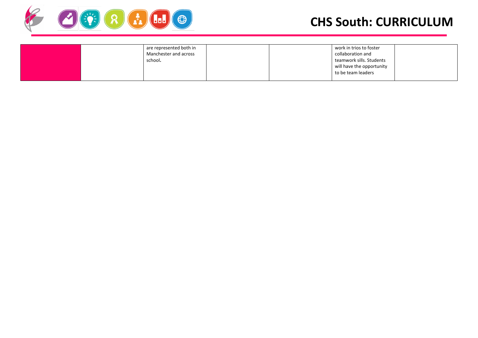

| are represented both in |  | work in trios to foster   |  |
|-------------------------|--|---------------------------|--|
| Manchester and across   |  | collaboration and         |  |
| school.                 |  | teamwork sills. Students  |  |
|                         |  | will have the opportunity |  |
|                         |  | to be team leaders        |  |
|                         |  |                           |  |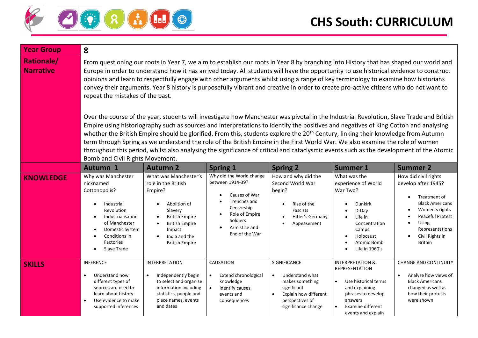

| <b>Year Group</b>                     | 8                                                                                                                                                                                                                                                                                                                                                                                                                                                                                                                                                                                                                                                                                                                                           |                                                                                                                                                                                                       |                                                                                                                                                              |                                                                                                                                                                                                                                                                                                                                                                                                                                                                                                                                                                   |                                                                                                                                                                                  |                                                                                                                                                                                                                                                  |
|---------------------------------------|---------------------------------------------------------------------------------------------------------------------------------------------------------------------------------------------------------------------------------------------------------------------------------------------------------------------------------------------------------------------------------------------------------------------------------------------------------------------------------------------------------------------------------------------------------------------------------------------------------------------------------------------------------------------------------------------------------------------------------------------|-------------------------------------------------------------------------------------------------------------------------------------------------------------------------------------------------------|--------------------------------------------------------------------------------------------------------------------------------------------------------------|-------------------------------------------------------------------------------------------------------------------------------------------------------------------------------------------------------------------------------------------------------------------------------------------------------------------------------------------------------------------------------------------------------------------------------------------------------------------------------------------------------------------------------------------------------------------|----------------------------------------------------------------------------------------------------------------------------------------------------------------------------------|--------------------------------------------------------------------------------------------------------------------------------------------------------------------------------------------------------------------------------------------------|
| <b>Rationale/</b><br><b>Narrative</b> | From questioning our roots in Year 7, we aim to establish our roots in Year 8 by branching into History that has shaped our world and<br>Europe in order to understand how it has arrived today. All students will have the opportunity to use historical evidence to construct<br>opinions and learn to respectfully engage with other arguments whilst using a range of key terminology to examine how historians<br>convey their arguments. Year 8 history is purposefully vibrant and creative in order to create pro-active citizens who do not want to<br>repeat the mistakes of the past.<br>Over the course of the year, students will investigate how Manchester was pivotal in the Industrial Revolution, Slave Trade and British |                                                                                                                                                                                                       |                                                                                                                                                              |                                                                                                                                                                                                                                                                                                                                                                                                                                                                                                                                                                   |                                                                                                                                                                                  |                                                                                                                                                                                                                                                  |
|                                       | Bomb and Civil Rights Movement.                                                                                                                                                                                                                                                                                                                                                                                                                                                                                                                                                                                                                                                                                                             |                                                                                                                                                                                                       |                                                                                                                                                              | Empire using historiography such as sources and interpretations to identify the positives and negatives of King Cotton and analysing<br>whether the British Empire should be glorified. From this, students explore the 20 <sup>th</sup> Century, linking their knowledge from Autumn<br>term through Spring as we understand the role of the British Empire in the First World War. We also examine the role of women<br>throughout this period, whilst also analysing the significance of critical and cataclysmic events such as the development of the Atomic |                                                                                                                                                                                  |                                                                                                                                                                                                                                                  |
|                                       | <b>Autumn 1</b>                                                                                                                                                                                                                                                                                                                                                                                                                                                                                                                                                                                                                                                                                                                             | <b>Autumn 2</b>                                                                                                                                                                                       | <b>Spring 1</b>                                                                                                                                              | <b>Spring 2</b>                                                                                                                                                                                                                                                                                                                                                                                                                                                                                                                                                   | <b>Summer 1</b>                                                                                                                                                                  | <b>Summer 2</b>                                                                                                                                                                                                                                  |
| <b>KNOWLEDGE</b>                      | Why was Manchester<br>nicknamed<br>Cottonopolis?<br>Industrial<br>$\bullet$<br>Revolution<br>Industrialisation<br>$\bullet$<br>of Manchester<br>Domestic System<br>$\bullet$<br>Conditions in<br>Factories<br>Slave Trade                                                                                                                                                                                                                                                                                                                                                                                                                                                                                                                   | What was Manchester's<br>role in the British<br>Empire?<br>Abolition of<br>Slavery<br><b>British Empire</b><br>$\bullet$<br><b>British Empire</b><br>Impact<br>India and the<br><b>British Empire</b> | Why did the World change<br>between 1914-39?<br>Causes of War<br>Trenches and<br>Censorship<br>Role of Empire<br>Soldiers<br>Armistice and<br>End of the War | How and why did the<br>Second World War<br>begin?<br>Rise of the<br>$\bullet$<br><b>Fascists</b><br>Hitler's Germany<br>Appeasement                                                                                                                                                                                                                                                                                                                                                                                                                               | What was the<br>experience of World<br>War Two?<br><b>Dunkirk</b><br>D-Day<br>Life in<br>Concentration<br>Camps<br>Holocaust<br>Atomic Bomb<br>Life in 1960's                    | How did civil rights<br>develop after 1945?<br>Treatment of<br>$\bullet$<br><b>Black Americans</b><br>Women's rights<br>$\bullet$<br>Peaceful Protest<br>$\bullet$<br>Using<br>Representations<br>Civil Rights in<br>$\bullet$<br><b>Britain</b> |
| <b>SKILLS</b>                         | <b>INFERENCE</b><br>Understand how<br>different types of<br>sources are used to<br>learn about history.<br>Use evidence to make<br>$\bullet$<br>supported inferences                                                                                                                                                                                                                                                                                                                                                                                                                                                                                                                                                                        | <b>INTERPRETATION</b><br>Independently begin<br>to select and organise<br>information including<br>statistics, people and<br>place names, events<br>and dates                                         | CAUSATION<br>Extend chronological<br>$\bullet$<br>knowledge<br>$\bullet$<br>Identify causes,<br>events and<br>consequences                                   | SIGNIFICANCE<br>Understand what<br>$\bullet$<br>makes something<br>significant<br>Explain how different<br>$\bullet$<br>perspectives of<br>significance change                                                                                                                                                                                                                                                                                                                                                                                                    | <b>INTERPRETATION &amp;</b><br>REPRESENTATION<br>Use historical terms<br>$\bullet$<br>and explaining<br>phrases to develop<br>answers<br>Examine different<br>events and explain | <b>CHANGE AND CONTINUITY</b><br>Analyse how views of<br><b>Black Americans</b><br>changed as well as<br>how their protests<br>were shown                                                                                                         |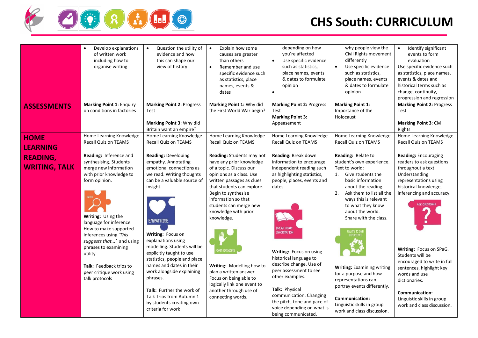

|                                         | Develop explanations<br>$\bullet$<br>of written work<br>including how to<br>organise writing                                                                                                                                                                                                                                                                      | Question the utility of<br>$\bullet$<br>evidence and how<br>this can shape our<br>view of history.                                                                                                                                                                                                                                                                                                                                                                                             | Explain how some<br>$\bullet$<br>causes are greater<br>than others<br>Remember and use<br>$\bullet$<br>specific evidence such<br>as statistics, place<br>names, events &<br>dates                                                                                                                                                                                                                                                                                         | depending on how<br>you're affected<br>$\bullet$<br>Use specific evidence<br>such as statistics,<br>place names, events<br>& dates to formulate<br>opinion<br>$\bullet$                                                                                                                                                                                                                                                                             | why people view the<br>Civil Rights movement<br>differently<br>Use specific evidence<br>$\bullet$<br>such as statistics,<br>place names, events<br>& dates to formulate<br>opinion                                                                                                                                                                                                                                                                                                            | Identify significant<br>$\bullet$<br>events to form<br>evaluation<br>Use specific evidence such<br>as statistics, place names,<br>events & dates and<br>historical terms such as<br>change, continuity,<br>progression and regression                                                                                                                                                                                                  |
|-----------------------------------------|-------------------------------------------------------------------------------------------------------------------------------------------------------------------------------------------------------------------------------------------------------------------------------------------------------------------------------------------------------------------|------------------------------------------------------------------------------------------------------------------------------------------------------------------------------------------------------------------------------------------------------------------------------------------------------------------------------------------------------------------------------------------------------------------------------------------------------------------------------------------------|---------------------------------------------------------------------------------------------------------------------------------------------------------------------------------------------------------------------------------------------------------------------------------------------------------------------------------------------------------------------------------------------------------------------------------------------------------------------------|-----------------------------------------------------------------------------------------------------------------------------------------------------------------------------------------------------------------------------------------------------------------------------------------------------------------------------------------------------------------------------------------------------------------------------------------------------|-----------------------------------------------------------------------------------------------------------------------------------------------------------------------------------------------------------------------------------------------------------------------------------------------------------------------------------------------------------------------------------------------------------------------------------------------------------------------------------------------|----------------------------------------------------------------------------------------------------------------------------------------------------------------------------------------------------------------------------------------------------------------------------------------------------------------------------------------------------------------------------------------------------------------------------------------|
| <b>ASSESSMENTS</b>                      | <b>Marking Point 1: Enquiry</b><br>on conditions in factories                                                                                                                                                                                                                                                                                                     | <b>Marking Point 2: Progress</b><br>Test<br>Marking Point 3: Why did<br>Britain want an empire?                                                                                                                                                                                                                                                                                                                                                                                                | Marking Point 1: Why did<br>the First World War begin?                                                                                                                                                                                                                                                                                                                                                                                                                    | <b>Marking Point 2: Progress</b><br>Test<br><b>Marking Point 3:</b><br>Appeasement                                                                                                                                                                                                                                                                                                                                                                  | <b>Marking Point 1:</b><br>Importance of the<br>Holocaust                                                                                                                                                                                                                                                                                                                                                                                                                                     | <b>Marking Point 2: Progress</b><br>Test<br><b>Marking Point 3: Civil</b><br>Rights                                                                                                                                                                                                                                                                                                                                                    |
| <b>HOME</b><br><b>LEARNING</b>          | Home Learning Knowledge<br><b>Recall Quiz on TEAMS</b>                                                                                                                                                                                                                                                                                                            | Home Learning Knowledge<br>Recall Quiz on TEAMS                                                                                                                                                                                                                                                                                                                                                                                                                                                | Home Learning Knowledge<br><b>Recall Quiz on TEAMS</b>                                                                                                                                                                                                                                                                                                                                                                                                                    | Home Learning Knowledge<br><b>Recall Quiz on TEAMS</b>                                                                                                                                                                                                                                                                                                                                                                                              | Home Learning Knowledge<br><b>Recall Quiz on TEAMS</b>                                                                                                                                                                                                                                                                                                                                                                                                                                        | Home Learning Knowledge<br>Recall Quiz on TEAMS                                                                                                                                                                                                                                                                                                                                                                                        |
| <b>READING,</b><br><b>WRITING, TALK</b> | Reading: Inference and<br>synthesising. Students<br>merge new information<br>with prior knowledge to<br>form opinion.<br>Writing: Using the<br>language for inference.<br>How to make supported<br>inferences using 'This<br>suggests that' and using<br>phrases to examining<br>utility<br>Talk: Feedback trios to<br>peer critique work using<br>talk protocols | Reading: Developing<br>empathy. Annotating<br>emotional connections as<br>we read. Writing thoughts<br>can be a valuable source of<br>insight.<br><b>EMPATHISE</b><br>Writing: Focus on<br>explanations using<br>modelling. Students will be<br>explicitly taught to use<br>statistics, people and place<br>names and dates in their<br>work alongside explaining<br>phrases.<br><b>Talk:</b> Further the work of<br>Talk Trios from Autumn 1<br>by students creating own<br>criteria for work | Reading: Students may not<br>have any prior knowledge<br>of a topic. Discuss our<br>opinions as a class. Use<br>written passages as clues<br>that students can explore.<br>Begin to synthesise<br>information so that<br>students can merge new<br>knowledge with prior<br>knowledge.<br><b>RM OPINION</b><br>Writing: Modelling how to<br>plan a written answer.<br>Focus on being able to<br>logically link one event to<br>another through use of<br>connecting words. | Reading: Break down<br>information to encourage<br>independent reading such<br>as highlighting statistics,<br>people, places, events and<br>dates<br>Break Down<br><b>INFORMATION</b><br>Writing: Focus on using<br>historical language to<br>describe change. Use of<br>peer assessment to see<br>other examples.<br>Talk: Physical<br>communication. Changing<br>the pitch, tone and pace of<br>voice depending on what is<br>being communicated. | Reading: Relate to<br>student's own experience.<br>Text to world:<br>1.<br>Give students the<br>basic information<br>about the reading.<br>2.<br>Ask them to list all the<br>ways this is relevant<br>to what they know<br>about the world.<br>Share with the class.<br>RELATE TO OI<br><b>Writing: Examining writing</b><br>for a purpose and how<br>representations can<br>portray events differently.<br><b>Communication:</b><br>Linguistic skills in group<br>work and class discussion. | <b>Reading: Encouraging</b><br>readers to ask questions<br>throughout a text.<br>Understanding<br>representations using<br>historical knowledge,<br>inferencing and accuracy.<br><b>ASK QUESTIONS</b><br>Writing: Focus on SPaG.<br>Students will be<br>encouraged to write in full<br>sentences, highlight key<br>words and use<br>dictionaries.<br><b>Communication:</b><br>Linguistic skills in group<br>work and class discussion. |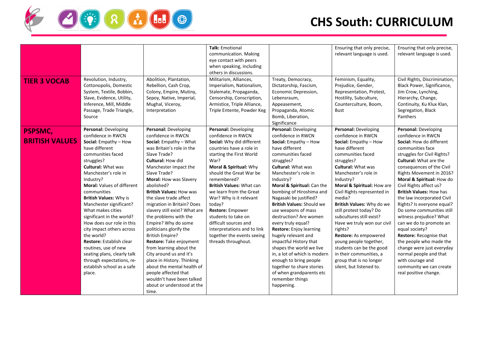

| <b>TIER 3 VOCAB</b>              | Revolution, Industry,<br>Cottonopolis, Domestic<br>System, Textile, Bobbin,<br>Slave, Evidence, Utility,<br>Inference, Mill, Middle                                                                                                                                                                                                                                                                                                                                                                                                                                                          | Abolition, Plantation,<br>Rebellion, Cash Crop,<br>Colony, Empire, Mutiny,<br>Sepoy, Native, Imperial,<br>Mughal, Viceroy,                                                                                                                                                                                                                                                                                                                                                                                                                                                                                                                                                                              | <b>Talk: Emotional</b><br>communication. Making<br>eye contact with peers<br>when speaking, including<br>others in discussions.<br>Militarism, Alliances,<br>Imperialism, Nationalism,<br>Stalemate, Propaganda,<br>Censorship, Conscription,<br>Armistice, Triple Alliance,                                                                                                                                                                                           | Treaty, Democracy,<br>Dictatorship, Fascism,<br>Economic Depression,<br>Lebensraum,<br>Appeasement,                                                                                                                                                                                                                                                                                                                                                                                                                                                                                                                                                          | Ensuring that only precise,<br>relevant language is used.<br>Feminism, Equality,<br>Prejudice, Gender,<br>Representation, Protest,<br>Hostility, Subculture,<br>Counterculture, Boom,                                                                                                                                                                                                                                                                                                                                                                            | Ensuring that only precise,<br>relevant language is used.<br>Civil Rights, Discrimination,<br>Black Power, Significance,<br>Jim Crow, Lynching,<br>Hierarchy, Change,<br>Continuity, Ku Klux Klan,                                                                                                                                                                                                                                                                                                                                                                                                                                                                  |
|----------------------------------|----------------------------------------------------------------------------------------------------------------------------------------------------------------------------------------------------------------------------------------------------------------------------------------------------------------------------------------------------------------------------------------------------------------------------------------------------------------------------------------------------------------------------------------------------------------------------------------------|---------------------------------------------------------------------------------------------------------------------------------------------------------------------------------------------------------------------------------------------------------------------------------------------------------------------------------------------------------------------------------------------------------------------------------------------------------------------------------------------------------------------------------------------------------------------------------------------------------------------------------------------------------------------------------------------------------|------------------------------------------------------------------------------------------------------------------------------------------------------------------------------------------------------------------------------------------------------------------------------------------------------------------------------------------------------------------------------------------------------------------------------------------------------------------------|--------------------------------------------------------------------------------------------------------------------------------------------------------------------------------------------------------------------------------------------------------------------------------------------------------------------------------------------------------------------------------------------------------------------------------------------------------------------------------------------------------------------------------------------------------------------------------------------------------------------------------------------------------------|------------------------------------------------------------------------------------------------------------------------------------------------------------------------------------------------------------------------------------------------------------------------------------------------------------------------------------------------------------------------------------------------------------------------------------------------------------------------------------------------------------------------------------------------------------------|---------------------------------------------------------------------------------------------------------------------------------------------------------------------------------------------------------------------------------------------------------------------------------------------------------------------------------------------------------------------------------------------------------------------------------------------------------------------------------------------------------------------------------------------------------------------------------------------------------------------------------------------------------------------|
|                                  | Passage, Trade Triangle,<br>Source                                                                                                                                                                                                                                                                                                                                                                                                                                                                                                                                                           | Interpretation                                                                                                                                                                                                                                                                                                                                                                                                                                                                                                                                                                                                                                                                                          | Triple Entente, Powder Keg                                                                                                                                                                                                                                                                                                                                                                                                                                             | Propaganda, Atomic<br>Bomb, Liberation,<br>Significance                                                                                                                                                                                                                                                                                                                                                                                                                                                                                                                                                                                                      | <b>Bust</b>                                                                                                                                                                                                                                                                                                                                                                                                                                                                                                                                                      | Segregation, Black<br>Panthers                                                                                                                                                                                                                                                                                                                                                                                                                                                                                                                                                                                                                                      |
| PSPSMC,<br><b>BRITISH VALUES</b> | Personal: Developing<br>confidence in RWCN<br>Social: Empathy - How<br>have different<br>communities faced<br>struggles?<br><b>Cultural: What was</b><br>Manchester's role in<br>Industry?<br><b>Moral: Values of different</b><br>communities<br><b>British Values: Why is</b><br>Manchester significant?<br>What makes cities<br>significant in the world?<br>How does our role in this<br>city impact others across<br>the world?<br>Restore: Establish clear<br>routines, use of new<br>seating plans, clearly talk<br>through expectations, re-<br>establish school as a safe<br>place. | Personal: Developing<br>confidence in RWCN<br>Social: Empathy - What<br>was Britain's role in the<br>Slave Trade?<br><b>Cultural: How did</b><br>Manchester impact the<br>Slave Trade?<br>Moral: How was Slavery<br>abolished?<br><b>British Values: How was</b><br>the slave trade affect<br>migration in Britain? Does<br>slavery still exist? What are<br>the problems with the<br>Empire? Why do some<br>politicians glorify the<br><b>British Empire?</b><br>Restore: Take enjoyment<br>from learning about the<br>City around us and it's<br>place in History. Thinking<br>about the mental health of<br>people affected that<br>wouldn't have been talked<br>about or understood at the<br>time. | Personal: Developing<br>confidence in RWCN<br>Social: Why did different<br>countries have a role in<br>starting the First World<br>War?<br>Moral & Spiritual: Why<br>should the Great War be<br>remembered?<br><b>British Values: What can</b><br>we learn from the Great<br>War? Why is it relevant<br>today?<br>Restore: Empower<br>students to take on<br>difficult sources and<br>interpretations and to link<br>together the events seeing<br>threads throughout. | Personal: Developing<br>confidence in RWCN<br>Social: Empathy - How<br>have different<br>communities faced<br>struggles?<br><b>Cultural: What was</b><br>Manchester's role in<br>Industry?<br>Moral & Spiritual: Can the<br>bombing of Hiroshima and<br>Nagasaki be justified?<br><b>British Values: Should we</b><br>use weapons of mass<br>destruction? Are women<br>every truly equal?<br><b>Restore:</b> Enjoy learning<br>hugely relevant and<br>impactful History that<br>shapes the world we live<br>in, a lot of which is modern<br>enough to bring people<br>together to share stories<br>of when grandparents etc<br>remember things<br>happening. | Personal: Developing<br>confidence in RWCN<br>Social: Empathy - How<br>have different<br>communities faced<br>struggles?<br><b>Cultural: What was</b><br>Manchester's role in<br>Industry?<br>Moral & Spiritual: How are<br>Civil Rights represented in<br>media?<br>British Values: Why do we<br>still protest today? Do<br>subcultures still exist?<br>Have we truly won our civil<br>rights?<br>Restore: As empowered<br>young people together,<br>students can be the good<br>in their communities, a<br>group that is no longer<br>silent, but listened to. | Personal: Developing<br>confidence in RWCN<br>Social: How do different<br>communities face<br>struggles for Civil Rights?<br><b>Cultural: What are the</b><br>consequences of the Civil<br>Rights Movement in 2016?<br>Moral & Spiritual: How do<br>Civil Rights affect us?<br><b>British Values: How has</b><br>the law incorporated Civil<br>Rights? Is everyone equal?<br>Do some communities still<br>witness prejudice? What<br>can we do to promote an<br>equal society?<br>Restore: Recognise that<br>the people who made the<br>change were just everyday<br>normal people and that<br>with courage and<br>community we can create<br>real positive change. |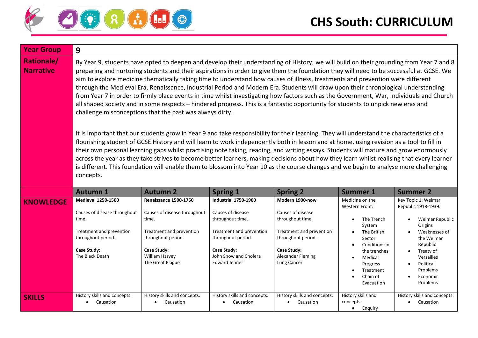

| <b>Year Group</b>                     | 9                                                                                                                                                                                                                                                                                                                                                                                                                                                                                                                                                                                                                                                                                                                                                                                                                                                                                                                                                                                                                                                                                                                                                                                                                                                                                                                                                                                                                                                                                                                                                                                                                                            |                                                                                                                                                                       |                                                                                                                                                                                        |                                                                                                                                                                             |                                                                                                                                                                                                       |                                                                                                                                                                                                                           |  |
|---------------------------------------|----------------------------------------------------------------------------------------------------------------------------------------------------------------------------------------------------------------------------------------------------------------------------------------------------------------------------------------------------------------------------------------------------------------------------------------------------------------------------------------------------------------------------------------------------------------------------------------------------------------------------------------------------------------------------------------------------------------------------------------------------------------------------------------------------------------------------------------------------------------------------------------------------------------------------------------------------------------------------------------------------------------------------------------------------------------------------------------------------------------------------------------------------------------------------------------------------------------------------------------------------------------------------------------------------------------------------------------------------------------------------------------------------------------------------------------------------------------------------------------------------------------------------------------------------------------------------------------------------------------------------------------------|-----------------------------------------------------------------------------------------------------------------------------------------------------------------------|----------------------------------------------------------------------------------------------------------------------------------------------------------------------------------------|-----------------------------------------------------------------------------------------------------------------------------------------------------------------------------|-------------------------------------------------------------------------------------------------------------------------------------------------------------------------------------------------------|---------------------------------------------------------------------------------------------------------------------------------------------------------------------------------------------------------------------------|--|
| <b>Rationale/</b><br><b>Narrative</b> | By Year 9, students have opted to deepen and develop their understanding of History; we will build on their grounding from Year 7 and 8<br>preparing and nurturing students and their aspirations in order to give them the foundation they will need to be successful at GCSE. We<br>aim to explore medicine thematically taking time to understand how causes of illness, treatments and prevention were different<br>through the Medieval Era, Renaissance, Industrial Period and Modern Era. Students will draw upon their chronological understanding<br>from Year 7 in order to firmly place events in time whilst investigating how factors such as the Government, War, Individuals and Church<br>all shaped society and in some respects - hindered progress. This is a fantastic opportunity for students to unpick new eras and<br>challenge misconceptions that the past was always dirty.<br>It is important that our students grow in Year 9 and take responsibility for their learning. They will understand the characteristics of a<br>flourishing student of GCSE History and will learn to work independently both in lesson and at home, using revision as a tool to fill in<br>their own personal learning gaps whilst practising note taking, reading, and writing essays. Students will mature and grow enormously<br>across the year as they take strives to become better learners, making decisions about how they learn whilst realising that every learner<br>is different. This foundation will enable them to blossom into Year 10 as the course changes and we begin to analyse more challenging<br>concepts. |                                                                                                                                                                       |                                                                                                                                                                                        |                                                                                                                                                                             |                                                                                                                                                                                                       |                                                                                                                                                                                                                           |  |
|                                       | <b>Autumn 1</b>                                                                                                                                                                                                                                                                                                                                                                                                                                                                                                                                                                                                                                                                                                                                                                                                                                                                                                                                                                                                                                                                                                                                                                                                                                                                                                                                                                                                                                                                                                                                                                                                                              | <b>Autumn 2</b>                                                                                                                                                       | <b>Spring 1</b>                                                                                                                                                                        | <b>Spring 2</b>                                                                                                                                                             | <b>Summer 1</b>                                                                                                                                                                                       | <b>Summer 2</b>                                                                                                                                                                                                           |  |
| <b>KNOWLEDGE</b>                      | <b>Medieval 1250-1500</b><br>Causes of disease throughout<br>time.<br>Treatment and prevention<br>throughout period.<br>Case Study:<br>The Black Death                                                                                                                                                                                                                                                                                                                                                                                                                                                                                                                                                                                                                                                                                                                                                                                                                                                                                                                                                                                                                                                                                                                                                                                                                                                                                                                                                                                                                                                                                       | Renaissance 1500-1750<br>Causes of disease throughout<br>time.<br>Treatment and prevention<br>throughout period.<br>Case Study:<br>William Harvey<br>The Great Plague | Industrial 1750-1900<br>Causes of disease<br>throughout time.<br>Treatment and prevention<br>throughout period.<br><b>Case Study:</b><br>John Snow and Cholera<br><b>Edward Jenner</b> | Modern 1900-now<br>Causes of disease<br>throughout time.<br>Treatment and prevention<br>throughout period.<br><b>Case Study:</b><br><b>Alexander Fleming</b><br>Lung Cancer | Medicine on the<br><b>Western Front:</b><br>The Trench<br>System<br>The British<br>Sector<br>Conditions in<br>the trenches<br>Medical<br>$\bullet$<br>Progress<br>Treatment<br>Chain of<br>Evacuation | Key Topic 1: Weimar<br>Republic 1918-1939:<br>Weimar Republic<br>Origins<br>Weaknesses of<br>the Weimar<br>Republic<br>Treaty of<br>$\bullet$<br>Versailles<br>Political<br>Problems<br>Economic<br>$\bullet$<br>Problems |  |
| <b>SKILLS</b>                         | History skills and concepts:<br>Causation<br>$\bullet$                                                                                                                                                                                                                                                                                                                                                                                                                                                                                                                                                                                                                                                                                                                                                                                                                                                                                                                                                                                                                                                                                                                                                                                                                                                                                                                                                                                                                                                                                                                                                                                       | History skills and concepts:<br>Causation                                                                                                                             | History skills and concepts:<br>Causation                                                                                                                                              | History skills and concepts:<br>Causation<br>$\bullet$                                                                                                                      | History skills and<br>concepts:<br>$\bullet$<br>Enguiry                                                                                                                                               | History skills and concepts:<br>Causation                                                                                                                                                                                 |  |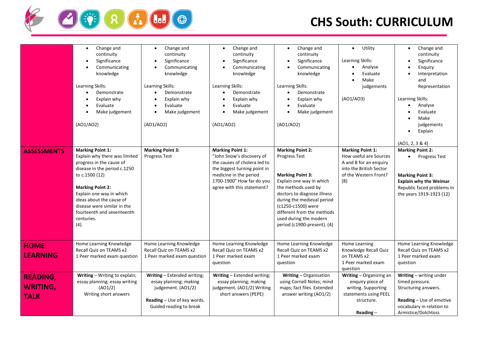

| <b>ASSESSMENTS</b>                                | Change and<br>$\bullet$<br>continuity<br>Significance<br>Communicating<br>knowledge<br>Learning Skills:<br>Demonstrate<br>Explain why<br>Evaluate<br>Make judgement<br>(AO1/AO2)<br><b>Marking Point 1:</b><br>Explain why there was limited<br>progress in the cause of<br>disease in the period c.1250<br>to c.1500 (12)<br><b>Marking Point 2:</b><br>Explain one way in which<br>ideas about the cause of<br>disease were similar in the<br>fourteenth and seventeenth<br>centuries.<br>(4). | Change and<br>$\bullet$<br>continuity<br>Significance<br>$\bullet$<br>Communicating<br>knowledge<br>Learning Skills:<br>Demonstrate<br>$\bullet$<br>Explain why<br>$\bullet$<br>Evaluate<br>$\bullet$<br>Make judgement<br>$\bullet$<br>(AO1/AO2)<br><b>Marking Point 3:</b><br>Progress Test | Change and<br>$\bullet$<br>continuity<br>Significance<br>$\bullet$<br>Communicating<br>knowledge<br>Learning Skills:<br>Demonstrate<br>$\bullet$<br>Explain why<br>Evaluate<br>Make judgement<br>$\bullet$<br>(AO1/AO2)<br><b>Marking Point 1:</b><br>"John Snow's discovery of<br>the causes of cholera led to<br>the biggest turning point in<br>medicine in the period<br>1700-1900" How far do you<br>agree with this statement? | Change and<br>$\bullet$<br>continuity<br>Significance<br>$\bullet$<br>Communicating<br>knowledge<br>Learning Skills:<br>Demonstrate<br>$\bullet$<br>Explain why<br>$\bullet$<br>Evaluate<br>$\bullet$<br>Make judgement<br>$\bullet$<br>(AO1/AO2)<br><b>Marking Point 2:</b><br>Progress Test<br><b>Marking Point 3:</b><br>Explain one way in which<br>the methods used by<br>doctors to diagnose illness<br>during the medieval period<br>(c1250-c1500) were<br>different from the methods<br>used during the modern<br>period (c1900-present). (4) | Utility<br>$\bullet$<br>Learning Skills:<br>Analyse<br>Evaluate<br>Make<br>judgements<br>(AO1/AO3)<br><b>Marking Point 1:</b><br>How useful are Sources<br>A and B for an enquiry<br>into the British Sector<br>of the Western Front?<br>(8) | Change and<br>$\bullet$<br>continuity<br>Significance<br>$\bullet$<br>Enquiry<br>Interpretation<br>and<br>Representation<br>Learning Skills:<br>Analyse<br>$\bullet$<br>Evaluate<br>Make<br>judgements<br>Explain<br>$\bullet$<br>(AO1, 2, 3 & 4)<br><b>Marking Point 2:</b><br>• Progress Test<br><b>Marking Point 3:</b><br><b>Explain why the Weimar</b><br>Republic faced problems in<br>the years 1919-1923 (12) |
|---------------------------------------------------|--------------------------------------------------------------------------------------------------------------------------------------------------------------------------------------------------------------------------------------------------------------------------------------------------------------------------------------------------------------------------------------------------------------------------------------------------------------------------------------------------|-----------------------------------------------------------------------------------------------------------------------------------------------------------------------------------------------------------------------------------------------------------------------------------------------|--------------------------------------------------------------------------------------------------------------------------------------------------------------------------------------------------------------------------------------------------------------------------------------------------------------------------------------------------------------------------------------------------------------------------------------|-------------------------------------------------------------------------------------------------------------------------------------------------------------------------------------------------------------------------------------------------------------------------------------------------------------------------------------------------------------------------------------------------------------------------------------------------------------------------------------------------------------------------------------------------------|----------------------------------------------------------------------------------------------------------------------------------------------------------------------------------------------------------------------------------------------|-----------------------------------------------------------------------------------------------------------------------------------------------------------------------------------------------------------------------------------------------------------------------------------------------------------------------------------------------------------------------------------------------------------------------|
| <b>HOME</b><br><b>LEARNING</b>                    | Home Learning Knowledge<br>Recall Quiz on TEAMS x2<br>1 Peer marked exam question                                                                                                                                                                                                                                                                                                                                                                                                                | Home Learning Knowledge<br>Recall Quiz on TEAMS x2<br>1 Peer marked exam question                                                                                                                                                                                                             | Home Learning Knowledge<br>Recall Quiz on TEAMS x2<br>1 Peer marked exam<br>question                                                                                                                                                                                                                                                                                                                                                 | Home Learning Knowledge<br>Recall Quiz on TEAMS x2<br>1 Peer marked exam<br>question                                                                                                                                                                                                                                                                                                                                                                                                                                                                  | Home Learning<br>Knowledge Recall Quiz<br>on TEAMS x2<br>1 Peer marked exam<br>question                                                                                                                                                      | Home Learning Knowledge<br>Recall Quiz on TEAMS x2<br>1 Peer marked exam<br>question                                                                                                                                                                                                                                                                                                                                  |
| <b>READING,</b><br><b>WRITING,</b><br><b>TALK</b> | Writing - Writing to explain;<br>essay planning; essay writing<br>(AO1/2)<br>Writing short answers                                                                                                                                                                                                                                                                                                                                                                                               | Writing - Extended writing;<br>essay planning; making<br>judgement. (AO1/2)<br>Reading - Use of key words.<br>Guided reading to break                                                                                                                                                         | Writing - Extended writing;<br>essay planning; making<br>judgement. (AO1/2) Writing<br>short answers (PEPE)                                                                                                                                                                                                                                                                                                                          | Writing - Organisation<br>using Cornell Notes; mind<br>maps; fact files. Extended<br>answer writing (AO1/2)                                                                                                                                                                                                                                                                                                                                                                                                                                           | Writing - Organizing an<br>enquiry piece of<br>writing. Supporting<br>statements using PEEL<br>structure.<br>Reading $-$                                                                                                                     | Writing - writing under<br>timed pressure.<br>Structuring answers.<br><b>Reading</b> - Use of emotive<br>vocabulary in relation to<br>Armistice/Dolchtoss                                                                                                                                                                                                                                                             |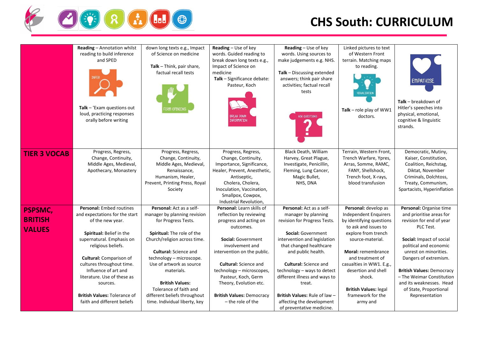

|                                            | Reading - Annotation whilst                                                                                                                                                                                                                                                                                                                                           | down long texts e.g., Impact                                                                                                                                                                                                                                                                                                                                             | Reading - Use of key                                                                                                                                                                                                                                                                                                                       | Reading - Use of key                                                                                                                                                                                                                                                                                                                                           | Linked pictures to text                                                                                                                                                                                                                                                                                                            |                                                                                                                                                                                                                                                                                                                                               |
|--------------------------------------------|-----------------------------------------------------------------------------------------------------------------------------------------------------------------------------------------------------------------------------------------------------------------------------------------------------------------------------------------------------------------------|--------------------------------------------------------------------------------------------------------------------------------------------------------------------------------------------------------------------------------------------------------------------------------------------------------------------------------------------------------------------------|--------------------------------------------------------------------------------------------------------------------------------------------------------------------------------------------------------------------------------------------------------------------------------------------------------------------------------------------|----------------------------------------------------------------------------------------------------------------------------------------------------------------------------------------------------------------------------------------------------------------------------------------------------------------------------------------------------------------|------------------------------------------------------------------------------------------------------------------------------------------------------------------------------------------------------------------------------------------------------------------------------------------------------------------------------------|-----------------------------------------------------------------------------------------------------------------------------------------------------------------------------------------------------------------------------------------------------------------------------------------------------------------------------------------------|
|                                            | reading to build inference<br>and SPED<br>Talk $-$ 'Exam questions out<br>loud, practicing responses<br>orally before writing                                                                                                                                                                                                                                         | of Science on medicine<br>Talk - Think, pair share,<br>factual recall tests<br><b>DRM OPINION</b>                                                                                                                                                                                                                                                                        | words. Guided reading to<br>break down long texts e.g.,<br>Impact of Science on<br>medicine<br>Talk - Significance debate:<br>Pasteur, Koch<br>Break Down<br><b>INFORMATION</b>                                                                                                                                                            | words. Using sources to<br>make judgements e.g. NHS.<br>Talk - Discussing extended<br>answers; think pair share<br>activities; factual recall<br>tests<br>ASK QUESTIONS                                                                                                                                                                                        | of Western Front<br>terrain. Matching maps<br>to reading.<br>VISUALISATIO<br>Talk - role play of $WW1$<br>doctors.                                                                                                                                                                                                                 | <b>EMPATHISE</b><br>Talk - breakdown of<br>Hitler's speeches into<br>physical, emotional,<br>cognitive & linguistic<br>strands.                                                                                                                                                                                                               |
| <b>TIER 3 VOCAB</b>                        | Progress, Regress,<br>Change, Continuity,<br>Middle Ages, Medieval,<br>Apothecary, Monastery                                                                                                                                                                                                                                                                          | Progress, Regress,<br>Change, Continuity,<br>Middle Ages, Medieval,<br>Renaissance,<br>Humanism, Healer,<br>Prevent, Printing Press, Royal<br>Society                                                                                                                                                                                                                    | Progress, Regress,<br>Change, Continuity,<br>Importance, Significance,<br>Healer, Prevent, Anesthetic,<br>Antiseptic,<br>Cholera, Cholera,<br>Inoculation, Vaccination,<br>Smallpox, Cowpox,<br>Industrial Revolution,                                                                                                                     | Black Death, William<br>Harvey, Great Plague,<br>Investigate, Penicillin,<br>Fleming, Lung Cancer,<br>Magic Bullet,<br>NHS, DNA                                                                                                                                                                                                                                | Terrain, Western Front,<br>Trench Warfare, Ypres,<br>Arras, Somme, RAMC,<br>FANY, Shellshock,<br>Trench foot, X-rays,<br>blood transfusion                                                                                                                                                                                         | Democratic, Mutiny,<br>Kaiser, Constitution,<br>Coalition, Reichstag,<br>Diktat, November<br>Criminals, Dolchtoss,<br>Treaty, Communism,<br>Spartacists, Hyperinflation                                                                                                                                                                       |
| PSPSMC,<br><b>BRITISH</b><br><b>VALUES</b> | Personal: Embed routines<br>and expectations for the start<br>of the new year.<br>Spiritual: Belief in the<br>supernatural. Emphasis on<br>religious beliefs.<br><b>Cultural:</b> Comparison of<br>cultures throughout time.<br>Influence of art and<br>literature. Use of these as<br>sources.<br><b>British Values: Tolerance of</b><br>faith and different beliefs | Personal: Act as a self-<br>manager by planning revision<br>for Progress Tests.<br>Spiritual: The role of the<br>Church/religion across time.<br><b>Cultural:</b> Science and<br>technology - microscope.<br>Use of artwork as source<br>materials.<br><b>British Values:</b><br>Tolerance of faith and<br>different beliefs throughout<br>time. Individual liberty, key | Personal: Learn skills of<br>reflection by reviewing<br>progress and acting on<br>outcomes.<br>Social: Government<br>involvement and<br>intervention on the public.<br><b>Cultural: Science and</b><br>technology - microscopes,<br>Pasteur, Koch, Germ<br>Theory, Evolution etc.<br><b>British Values: Democracy</b><br>- the role of the | Personal: Act as a self-<br>manager by planning<br>revision for Progress Tests.<br>Social: Government<br>intervention and legislation<br>that changed healthcare<br>and public health.<br><b>Cultural: Science and</b><br>technology - ways to detect<br>different illness and ways to<br>treat.<br>British Values: Rule of law -<br>affecting the development | Personal: develop as<br><b>Independent Enquirers</b><br>by identifying questions<br>to ask and issues to<br>explore from trench<br>source-material.<br><b>Moral:</b> remembrance<br>and treatment of<br>casualties in WW1. E.g.,<br>desertion and shell<br>shock.<br><b>British Values: legal</b><br>framework for the<br>army and | Personal: Organise time<br>and prioritise areas for<br>revision for end of year<br>PLC Test.<br>Social: Impact of social<br>political and economic<br>unrest on minorities.<br>Dangers of extremism.<br><b>British Values: Democracy</b><br>- The Weimar Constitution<br>and its weaknesses. Head<br>of State, Proportional<br>Representation |
|                                            |                                                                                                                                                                                                                                                                                                                                                                       |                                                                                                                                                                                                                                                                                                                                                                          |                                                                                                                                                                                                                                                                                                                                            | of preventative medicine.                                                                                                                                                                                                                                                                                                                                      |                                                                                                                                                                                                                                                                                                                                    |                                                                                                                                                                                                                                                                                                                                               |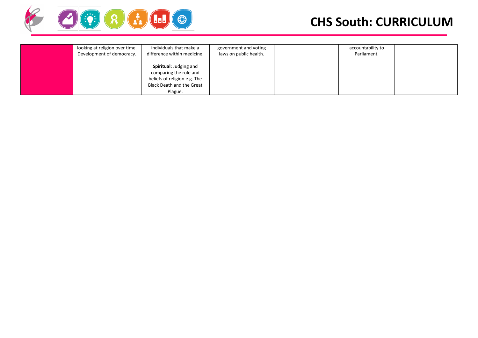

| looking at religion over time. | individuals that make a                                                                                                                                 | government and voting  | accountability to |  |
|--------------------------------|---------------------------------------------------------------------------------------------------------------------------------------------------------|------------------------|-------------------|--|
| Development of democracy.      | difference within medicine.<br>Spiritual: Judging and<br>comparing the role and<br>beliefs of religion e.g. The<br>Black Death and the Great<br>Plague. | laws on public health. | Parliament.       |  |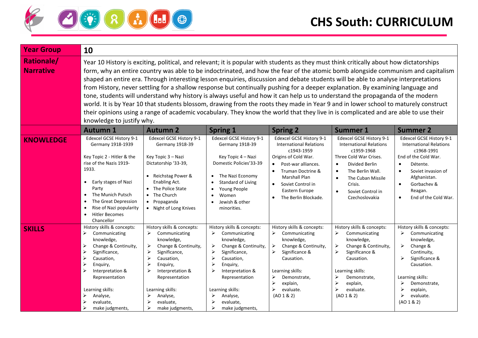

| <b>Year Group</b>                     | 10                                                                                                                                                                                                                                                                                                                                                                                                                                                                                                                                                                                                                                                                                                                                                                                                                                                                                                                                                                                               |                                                                                                                                                                                                                                                                                                                                        |                                                                                                                                                                                                                                                                                           |                                                                                                                                                                                                                                                        |                                                                                                                                                                                                                                                                     |                                                                                                                                                                                                                                             |
|---------------------------------------|--------------------------------------------------------------------------------------------------------------------------------------------------------------------------------------------------------------------------------------------------------------------------------------------------------------------------------------------------------------------------------------------------------------------------------------------------------------------------------------------------------------------------------------------------------------------------------------------------------------------------------------------------------------------------------------------------------------------------------------------------------------------------------------------------------------------------------------------------------------------------------------------------------------------------------------------------------------------------------------------------|----------------------------------------------------------------------------------------------------------------------------------------------------------------------------------------------------------------------------------------------------------------------------------------------------------------------------------------|-------------------------------------------------------------------------------------------------------------------------------------------------------------------------------------------------------------------------------------------------------------------------------------------|--------------------------------------------------------------------------------------------------------------------------------------------------------------------------------------------------------------------------------------------------------|---------------------------------------------------------------------------------------------------------------------------------------------------------------------------------------------------------------------------------------------------------------------|---------------------------------------------------------------------------------------------------------------------------------------------------------------------------------------------------------------------------------------------|
| <b>Rationale/</b><br><b>Narrative</b> | Year 10 History is exciting, political, and relevant; it is popular with students as they must think critically about how dictatorships<br>form, why an entire country was able to be indoctrinated, and how the fear of the atomic bomb alongside communism and capitalism<br>shaped an entire era. Through interesting lesson enquiries, discussion and debate students will be able to analyse interpretations<br>from History, never settling for a shallow response but continually pushing for a deeper explanation. By examining language and<br>tone, students will understand why history is always useful and how it can help us to understand the propaganda of the modern<br>world. It is by Year 10 that students blossom, drawing from the roots they made in Year 9 and in lower school to maturely construct<br>their opinions using a range of academic vocabulary. They know the world that they live in is complicated and are able to use their<br>knowledge to justify why. |                                                                                                                                                                                                                                                                                                                                        |                                                                                                                                                                                                                                                                                           |                                                                                                                                                                                                                                                        |                                                                                                                                                                                                                                                                     |                                                                                                                                                                                                                                             |
|                                       | <b>Autumn 1</b>                                                                                                                                                                                                                                                                                                                                                                                                                                                                                                                                                                                                                                                                                                                                                                                                                                                                                                                                                                                  | <b>Autumn 2</b>                                                                                                                                                                                                                                                                                                                        | <b>Spring 1</b>                                                                                                                                                                                                                                                                           | <b>Spring 2</b>                                                                                                                                                                                                                                        | <b>Summer 1</b>                                                                                                                                                                                                                                                     | <b>Summer 2</b>                                                                                                                                                                                                                             |
| <b>KNOWLEDGE</b>                      | Edexcel GCSE History 9-1<br>Germany 1918-1939<br>Key Topic 2 - Hitler & the<br>rise of the Nazis 1919-<br>1933.<br>Early stages of Nazi<br>$\bullet$<br>Party<br>The Munich Putsch<br>The Great Depression<br>$\bullet$<br>Rise of Nazi popularity<br><b>Hitler Becomes</b><br>$\bullet$<br>Chancellor                                                                                                                                                                                                                                                                                                                                                                                                                                                                                                                                                                                                                                                                                           | Edexcel GCSE History 9-1<br>Germany 1918-39<br>Key Topic 3 - Nazi<br>Dictatorship '33-39,<br>• Reichstag Power &<br>Enabling Act.<br>• The Police State<br>The Church<br>$\bullet$<br>Propaganda<br>$\bullet$<br>• Night of Long Knives                                                                                                | Edexcel GCSE History 9-1<br>Germany 1918-39<br>Key Topic 4 - Nazi<br>Domestic Policies'33-39<br>The Nazi Economy<br>Standard of Living<br>Young People<br>Women<br>Jewish & other<br>minorities.                                                                                          | Edexcel GCSE History 9-1<br><b>International Relations</b><br>c1943-1959<br>Origins of Cold War.<br>Post-war alliances.<br>$\bullet$<br>Truman Doctrine &<br>Marshall Plan<br>Soviet Control in<br>Eastern Europe<br>The Berlin Blockade.<br>$\bullet$ | Edexcel GCSE History 9-1<br><b>International Relations</b><br>c1959-1968<br>Three Cold War Crises.<br>Divided Berlin<br>$\bullet$<br>The Berlin Wall.<br>$\bullet$<br>The Cuban Missile<br>$\bullet$<br>Crisis.<br>Soviet Control in<br>$\bullet$<br>Czechoslovakia | Edexcel GCSE History 9-1<br><b>International Relations</b><br>c1968-1991<br>End of the Cold War.<br>Détente.<br>$\bullet$<br>Soviet invasion of<br>$\bullet$<br>Afghanistan.<br>Gorbachev &<br>$\bullet$<br>Reagan.<br>End of the Cold War. |
| <b>SKILLS</b>                         | History skills & concepts:<br>➤<br>Communicating<br>knowledge,<br>➤<br>Change & Continuity,<br>$\blacktriangleright$<br>Significance,<br>$\blacktriangleright$<br>Causation,<br>$\blacktriangleright$<br>Enguiry,<br>$\blacktriangleright$<br>Interpretation &<br>Representation<br>Learning skills:<br>Analyse,<br>➤<br>evaluate,<br>≻<br>make judgments,                                                                                                                                                                                                                                                                                                                                                                                                                                                                                                                                                                                                                                       | History skills & concepts:<br>➤<br>Communicating<br>knowledge,<br>➤<br>Change & Continuity,<br>➤<br>Significance,<br>$\blacktriangleright$<br>Causation,<br>$\blacktriangleright$<br>Enquiry,<br>$\blacktriangleright$<br>Interpretation &<br>Representation<br>Learning skills:<br>Analyse,<br>⋗<br>evaluate,<br>➤<br>make judgments, | History skills & concepts:<br>$\blacktriangleright$<br>Communicating<br>knowledge,<br>Change & Continuity,<br>➤<br>Significance,<br>≻<br>Causation,<br>⋗<br>Enquiry,<br>Interpretation &<br>➤<br>Representation<br>Learning skills:<br>Analyse,<br>➤<br>evaluate,<br>make judgments,<br>⋗ | History skills & concepts:<br>➤<br>Communicating<br>knowledge,<br>Change & Continuity,<br>➤<br>Significance &<br>Causation.<br>Learning skills:<br>➤<br>Demonstrate,<br>⋗<br>explain,<br>➤<br>evaluate.<br>(AO 1 & 2)                                  | History skills & concepts:<br>Communicating<br>➤<br>knowledge,<br>Change & Continuity,<br>➤<br>Significance &<br>➤<br>Causation.<br>Learning skills:<br>Demonstrate,<br>⋗<br>➤<br>explain,<br>evaluate.<br>⋗<br>(AO 1 & 2)                                          | History skills & concepts:<br>➤<br>Communicating<br>knowledge,<br>Change &<br>➤<br>Continuity,<br>Significance &<br>Causation.<br>Learning skills:<br>➤<br>Demonstrate,<br>explain,<br>evaluate.<br>➤<br>(AO 1 & 2)                         |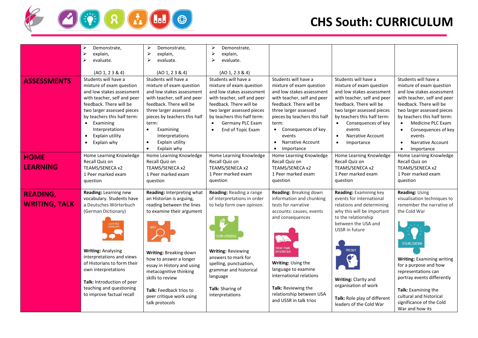

|                      | Demonstrate,                       | Demonstrate,<br>⋗                          | Demonstrate,<br>➤              |                                  |                                       |                                                            |
|----------------------|------------------------------------|--------------------------------------------|--------------------------------|----------------------------------|---------------------------------------|------------------------------------------------------------|
|                      | ⋗<br>explain,                      | $\blacktriangleright$<br>explain,          | ➤<br>explain,                  |                                  |                                       |                                                            |
|                      | $\blacktriangleright$<br>evaluate. | $\blacktriangleright$<br>evaluate.         | ⋗<br>evaluate.                 |                                  |                                       |                                                            |
|                      | (AO 1, 2 3 8 4)                    | (AO 1, 2 3 8 4)                            | (AO 1, 2 3 8 4)                |                                  |                                       |                                                            |
| <b>ASSESSMENTS</b>   | Students will have a               | Students will have a                       | Students will have a           | Students will have a             | Students will have a                  | Students will have a                                       |
|                      | mixture of exam question           | mixture of exam question                   | mixture of exam question       | mixture of exam question         | mixture of exam question              | mixture of exam question                                   |
|                      | and low stakes assessment          | and low stakes assessment                  | and low stakes assessment      | and low stakes assessment        | and low stakes assessment             | and low stakes assessment                                  |
|                      | with teacher, self and peer        | with teacher, self and peer                | with teacher, self and peer    | with teacher, self and peer      | with teacher, self and peer           | with teacher, self and peer                                |
|                      | feedback. There will be            | feedback. There will be                    | feedback. There will be        | feedback. There will be          | feedback. There will be               | feedback. There will be                                    |
|                      | two larger assessed pieces         | three larger assessed                      | two larger assessed pieces     | three larger assessed            | two larger assessed pieces            | two larger assessed pieces                                 |
|                      | by teachers this half term:        | pieces by teachers this half               | by teachers this half term:    | pieces by teachers this half     | by teachers this half term:           | by teachers this half term:                                |
|                      | Examining<br>$\bullet$             | term:                                      | Germany PLC Exam<br>$\bullet$  | term:                            | Consequences of key<br>$\bullet$      | Medicine PLC Exam<br>$\bullet$                             |
|                      | Interpretations                    | Examining<br>$\bullet$                     | End of Topic Exam<br>$\bullet$ | Consequences of key<br>$\bullet$ | events                                | Consequences of key                                        |
|                      | Explain utility<br>$\bullet$       | Interpretations                            |                                | events                           | <b>Narrative Account</b><br>$\bullet$ | events                                                     |
|                      | Explain why                        | Explain utility<br>$\bullet$               |                                | Narrative Account<br>$\bullet$   | Importance                            | Narrative Account<br>$\bullet$                             |
|                      |                                    | $\bullet$<br>Explain why                   |                                | Importance<br>$\bullet$          |                                       | Importance                                                 |
| <b>HOME</b>          | Home Learning Knowledge            | Home Learning Knowledge                    | Home Learning Knowledge        | Home Learning Knowledge          | Home Learning Knowledge               | Home Learning Knowledge                                    |
|                      | Recall Quiz on                     | Recall Quiz on                             | Recall Quiz on                 | Recall Quiz on                   | Recall Quiz on                        | Recall Quiz on                                             |
| <b>LEARNING</b>      | TEAMS/SENECA x2                    | TEAMS/SENECA x2                            | TEAMS/SENECA x2                | TEAMS/SENECA x2                  | TEAMS/SENECA x2                       | TEAMS/SENECA x2                                            |
|                      | 1 Peer marked exam                 | 1 Peer marked exam                         | 1 Peer marked exam             | 1 Peer marked exam               | 1 Peer marked exam                    | 1 Peer marked exam                                         |
|                      | question                           | question                                   | question                       | question                         | question                              | question                                                   |
|                      |                                    |                                            |                                |                                  |                                       |                                                            |
| <b>READING,</b>      | Reading: Learning new              | Reading: Interpreting what                 | Reading: Reading a range       | Reading: Breaking down           | Reading: Examining key                | Reading: Using                                             |
|                      | vocabulary. Students have          | an Historian is arguing,                   | of interpretations in order    | information and chunking         | events for international              | visualisation techniques to                                |
| <b>WRITING, TALK</b> | a Deutsches Wörterbuch             | reading between the lines                  | to help form own opinion.      | tests for narrative              | relations and determining             | remember the narrative of                                  |
|                      | (German Dictionary)                | to examine their argument                  |                                | accounts: causes, events         | why this will be important            | the Cold War                                               |
|                      |                                    |                                            |                                | and consequences                 | to the relationship                   |                                                            |
|                      | LEARN NEW<br>VOCABULARY            |                                            |                                |                                  | between the USA and                   |                                                            |
|                      |                                    |                                            |                                |                                  | USSR in future                        |                                                            |
|                      |                                    |                                            |                                |                                  |                                       |                                                            |
|                      |                                    |                                            |                                |                                  |                                       | <b>VISUALISATION</b>                                       |
|                      | <b>Writing: Analysing</b>          |                                            | <b>Writing: Reviewing</b>      | <b>BREAK DOWN</b><br>INFORMATION | PREDICT                               |                                                            |
|                      | interpretations and views          | Writing: Breaking down                     | answers to mark for            |                                  |                                       |                                                            |
|                      | of Historians to form their        | how to answer a longer                     | spelling, punctuation,         | Writing: Using the               |                                       | <b>Writing: Examining writing</b><br>for a purpose and how |
|                      | own interpretations                | essay in History and using                 | grammar and historical         | language to examine              |                                       |                                                            |
|                      |                                    | metacognitive thinking<br>skills to review | language                       | international relations          |                                       | representations can                                        |
|                      | Talk: Introduction of peer         |                                            |                                |                                  | Writing: Clarity and                  | portray events differently                                 |
|                      | teaching and questioning           |                                            | Talk: Sharing of               | Talk: Reviewing the              | organisation of work                  | Talk: Examining the                                        |
|                      | to improve factual recall          | Talk: Feedback trios to                    | interpretations                | relationship between USA         |                                       | cultural and historical                                    |
|                      |                                    | peer critique work using<br>talk protocols |                                | and USSR in talk trios           | Talk: Role play of different          | significance of the Cold                                   |
|                      |                                    |                                            |                                |                                  | leaders of the Cold War               | War and how its                                            |
|                      |                                    |                                            |                                |                                  |                                       |                                                            |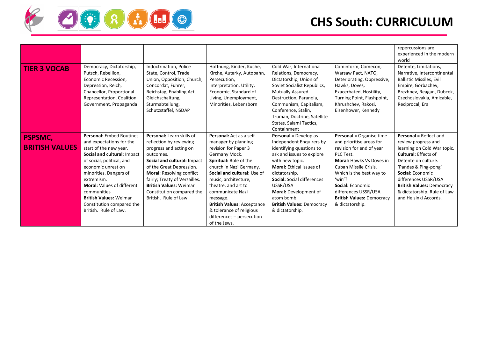

|                       |                                                                                                                                                                                |                                                                                                                                                                                                |                                                                                                                                                                                |                                                                                                                                                                                                                                                                                          |                                                                                                                                                                                                 | repercussions are<br>experienced in the modern<br>world                                                                                                                                    |
|-----------------------|--------------------------------------------------------------------------------------------------------------------------------------------------------------------------------|------------------------------------------------------------------------------------------------------------------------------------------------------------------------------------------------|--------------------------------------------------------------------------------------------------------------------------------------------------------------------------------|------------------------------------------------------------------------------------------------------------------------------------------------------------------------------------------------------------------------------------------------------------------------------------------|-------------------------------------------------------------------------------------------------------------------------------------------------------------------------------------------------|--------------------------------------------------------------------------------------------------------------------------------------------------------------------------------------------|
| <b>TIER 3 VOCAB</b>   | Democracy, Dictatorship,<br>Putsch, Rebellion,<br>Economic Recession,<br>Depression, Reich,<br>Chancellor, Proportional<br>Representation, Coalition<br>Government, Propaganda | Indoctrination, Police<br>State, Control, Trade<br>Union, Opposition, Church,<br>Concordat, Fuhrer,<br>Reichstag, Enabling Act,<br>Gleichschaltung,<br>Sturmabteilung,<br>Schutzstaffel, NSDAP | Hoffnung, Kinder, Kuche,<br>Kirche, Autarky, Autobahn,<br>Persecution,<br>Interpretation, Utility,<br>Economic, Standard of<br>Living, Unemployment,<br>Minorities, Lebensborn | Cold War, International<br>Relations, Democracy,<br>Dictatorship, Union of<br>Soviet Socialist Republics,<br><b>Mutually Assured</b><br>Destruction, Paranoia,<br>Communism, Capitalism,<br>Conference, Stalin,<br>Truman, Doctrine, Satellite<br>States, Salami Tactics,<br>Containment | Cominform, Comecon,<br>Warsaw Pact, NATO,<br>Deteriorating, Oppressive,<br>Hawks, Doves,<br>Exacerbated, Hostility,<br>Turning Point, Flashpoint,<br>Khrushchev, Rakosi,<br>Eisenhower, Kennedy | Détente, Limitations,<br>Narrative, Intercontinental<br><b>Ballistic Missiles, Evil</b><br>Empire, Gorbachev,<br>Brezhnev, Reagan, Dubcek,<br>Czechoslovakia, Amicable,<br>Reciprocal, Era |
| <b>PSPSMC,</b>        | <b>Personal: Embed Routines</b>                                                                                                                                                | Personal: Learn skills of                                                                                                                                                                      | Personal: Act as a self-                                                                                                                                                       | <b>Personal</b> = Develop as                                                                                                                                                                                                                                                             | Personal = Organise time                                                                                                                                                                        | <b>Personal</b> = Reflect and                                                                                                                                                              |
|                       | and expectations for the                                                                                                                                                       | reflection by reviewing                                                                                                                                                                        | manager by planning                                                                                                                                                            | Independent Enquirers by                                                                                                                                                                                                                                                                 | and prioritise areas for                                                                                                                                                                        | review progress and                                                                                                                                                                        |
| <b>BRITISH VALUES</b> | start of the new year.                                                                                                                                                         | progress and acting on                                                                                                                                                                         | revision for Paper 3                                                                                                                                                           | identifying questions to                                                                                                                                                                                                                                                                 | revision for end of year                                                                                                                                                                        | learning on Cold War topic.                                                                                                                                                                |
|                       | Social and cultural: Impact                                                                                                                                                    | outcomes.                                                                                                                                                                                      | Germany Mock.                                                                                                                                                                  | ask and issues to explore                                                                                                                                                                                                                                                                | PLC Test.                                                                                                                                                                                       | <b>Cultural: Effects of</b>                                                                                                                                                                |
|                       | of social, political, and                                                                                                                                                      | Social and cultural: Impact                                                                                                                                                                    | Spiritual: Role of the                                                                                                                                                         | with new topic.<br><b>Moral:</b> Ethical issues of                                                                                                                                                                                                                                       | <b>Moral: Hawks Vs Doves in</b><br>Cuban Missile Crisis.                                                                                                                                        | Détente on culture.                                                                                                                                                                        |
|                       | economic unrest on<br>minorities. Dangers of                                                                                                                                   | of the Great Depression.<br><b>Moral: Resolving conflict</b>                                                                                                                                   | church in Nazi Germany.<br>Social and cultural: Use of                                                                                                                         | dictatorship.                                                                                                                                                                                                                                                                            | Which is the best way to                                                                                                                                                                        | 'Pandas & Ping-pong'<br>Social: Economic                                                                                                                                                   |
|                       | extremism.                                                                                                                                                                     | fairly; Treaty of Versailles.                                                                                                                                                                  | music, architecture,                                                                                                                                                           | Social: Social differences                                                                                                                                                                                                                                                               | 'win'?                                                                                                                                                                                          | differences USSR/USA                                                                                                                                                                       |
|                       | <b>Moral: Values of different</b>                                                                                                                                              | <b>British Values: Weimar</b>                                                                                                                                                                  | theatre, and art to                                                                                                                                                            | USSR/USA                                                                                                                                                                                                                                                                                 | Social: Economic                                                                                                                                                                                | <b>British Values: Democracy</b>                                                                                                                                                           |
|                       | communities                                                                                                                                                                    | Constitution compared the                                                                                                                                                                      | communicate Nazi                                                                                                                                                               | Moral: Development of                                                                                                                                                                                                                                                                    | differences USSR/USA                                                                                                                                                                            | & dictatorship. Rule of Law                                                                                                                                                                |
|                       | <b>British Values: Weimar</b>                                                                                                                                                  | British. Rule of Law.                                                                                                                                                                          | message.                                                                                                                                                                       | atom bomb.                                                                                                                                                                                                                                                                               | <b>British Values: Democracy</b>                                                                                                                                                                | and Helsinki Accords.                                                                                                                                                                      |
|                       | Constitution compared the                                                                                                                                                      |                                                                                                                                                                                                | <b>British Values: Acceptance</b>                                                                                                                                              | <b>British Values: Democracy</b>                                                                                                                                                                                                                                                         | & dictatorship.                                                                                                                                                                                 |                                                                                                                                                                                            |
|                       | British. Rule of Law.                                                                                                                                                          |                                                                                                                                                                                                | & tolerance of religious                                                                                                                                                       | & dictatorship.                                                                                                                                                                                                                                                                          |                                                                                                                                                                                                 |                                                                                                                                                                                            |
|                       |                                                                                                                                                                                |                                                                                                                                                                                                | differences - persecution                                                                                                                                                      |                                                                                                                                                                                                                                                                                          |                                                                                                                                                                                                 |                                                                                                                                                                                            |
|                       |                                                                                                                                                                                |                                                                                                                                                                                                | of the Jews.                                                                                                                                                                   |                                                                                                                                                                                                                                                                                          |                                                                                                                                                                                                 |                                                                                                                                                                                            |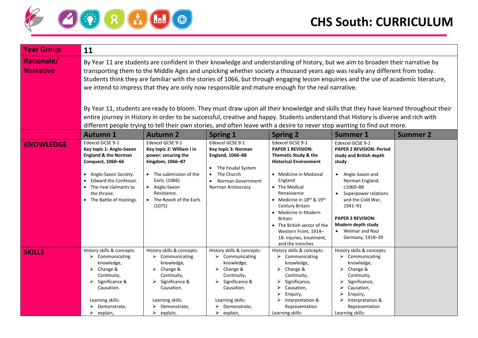

| <b>Year Group</b>                     | 11                                                                                                                                                                                                                                                                                                                                                                                                                                                                                                                                                                                                                                                                                                                                                                                                                                                                                                                    |                                                                                                                                                                                                                  |                                                                                                                                                                                                 |                                                                                                                                                                                                                                                                                                                                                                                 |                                                                                                                                                                                                                                                                                                  |                 |
|---------------------------------------|-----------------------------------------------------------------------------------------------------------------------------------------------------------------------------------------------------------------------------------------------------------------------------------------------------------------------------------------------------------------------------------------------------------------------------------------------------------------------------------------------------------------------------------------------------------------------------------------------------------------------------------------------------------------------------------------------------------------------------------------------------------------------------------------------------------------------------------------------------------------------------------------------------------------------|------------------------------------------------------------------------------------------------------------------------------------------------------------------------------------------------------------------|-------------------------------------------------------------------------------------------------------------------------------------------------------------------------------------------------|---------------------------------------------------------------------------------------------------------------------------------------------------------------------------------------------------------------------------------------------------------------------------------------------------------------------------------------------------------------------------------|--------------------------------------------------------------------------------------------------------------------------------------------------------------------------------------------------------------------------------------------------------------------------------------------------|-----------------|
| <b>Rationale/</b><br><b>Narrative</b> | By Year 11 are students are confident in their knowledge and understanding of history, but we aim to broaden their narrative by<br>transporting them to the Middle Ages and unpicking whether society a thousand years ago was really any different from today.<br>Students think they are familiar with the stories of 1066, but through engaging lesson enquiries and the use of academic literature,<br>we intend to impress that they are only now responsible and mature enough for the real narrative.<br>By Year 11, students are ready to bloom. They must draw upon all their knowledge and skills that they have learned throughout their<br>entire journey in History in order to be successful, creative and happy. Students understand that History is diverse and rich with<br>different people trying to tell their own stories, and often leave with a desire to never stop wanting to find out more. |                                                                                                                                                                                                                  |                                                                                                                                                                                                 |                                                                                                                                                                                                                                                                                                                                                                                 |                                                                                                                                                                                                                                                                                                  |                 |
|                                       | <b>Autumn 1</b>                                                                                                                                                                                                                                                                                                                                                                                                                                                                                                                                                                                                                                                                                                                                                                                                                                                                                                       | <b>Autumn 2</b>                                                                                                                                                                                                  | <b>Spring 1</b>                                                                                                                                                                                 | <b>Spring 2</b>                                                                                                                                                                                                                                                                                                                                                                 | <b>Summer 1</b>                                                                                                                                                                                                                                                                                  | <b>Summer 2</b> |
| <b>KNOWLEDGE</b>                      | Edexcel GCSE 9-1<br>Key topic 1: Anglo-Saxon<br><b>England &amp; the Norman</b><br>Conquest, 1060-66<br>• Anglo-Saxon Society.<br>Edward the Confessor.<br>• The rival claimants to<br>the throne.<br>• The Battle of Hastings.                                                                                                                                                                                                                                                                                                                                                                                                                                                                                                                                                                                                                                                                                       | Edexcel GCSE 9-1<br>Key topic 2: William I in<br>power: securing the<br>kingdom, 1066-87<br>• The submission of the<br>Earls. (1066)<br>• Anglo-Saxon<br>Resistance.<br>The Revolt of the Earls<br>(1075)        | Edexcel GCSE 9-1<br>Key topic 3: Norman<br>England, 1066-88<br>The Feudal System<br>The Church<br>Norman Government<br>Norman Aristocracy                                                       | Edexcel GCSE 9-1<br><b>PAPER 1 REVISION:</b><br>Thematic Study & the<br><b>Historical Environment</b><br>• Medicine in Medieval<br>England<br>• The Medical<br>Renaissance<br>• Medicine in $18th$ & $19th$<br>Century Britain<br>• Medicine in Modern<br><b>Britain</b><br>• The British sector of the<br>Western Front, 1914-<br>18: injuries, treatment,<br>and the trenches | Edexcel GCSE 9-1<br><b>PAPER 2 REVISION: Period</b><br>study and British depth<br>study<br>• Anglo-Saxon and<br>Norman England,<br>c1060-88<br>• Superpower relations<br>and the Cold War,<br>1941-91<br><b>PAPER 3 REVISION:</b><br>Modern depth study<br>• Weimar and Nazi<br>Germany, 1918-39 |                 |
| <b>SKILLS</b>                         | History skills & concepts:<br>$\triangleright$ Communicating<br>knowledge,<br>➤<br>Change &<br>Continuity,<br>Significance &<br>Causation.<br>Learning skills:<br>Demonstrate,<br>$\triangleright$ explain,                                                                                                                                                                                                                                                                                                                                                                                                                                                                                                                                                                                                                                                                                                           | History skills & concepts:<br>$\triangleright$ Communicating<br>knowledge,<br>Change &<br>➤<br>Continuity,<br>$\triangleright$ Significance &<br>Causation.<br>Learning skills:<br>Demonstrate,<br>➤<br>explain, | History skills & concepts:<br>$\triangleright$ Communicating<br>knowledge,<br>Change &<br>➤<br>Continuity,<br>Significance &<br>Causation.<br>Learning skills:<br>Demonstrate,<br>➤<br>explain, | History skills & concepts:<br>$\triangleright$ Communicating<br>knowledge,<br>$\triangleright$ Change &<br>Continuity,<br>$\triangleright$ Significance,<br>$\triangleright$ Causation,<br>$\triangleright$ Enquiry,<br>$\triangleright$ Interpretation &<br>Representation<br>Learning skills:                                                                                 | History skills & concepts:<br>$\triangleright$ Communicating<br>knowledge,<br>$\triangleright$ Change &<br>Continuity,<br>Significance,<br>Causation,<br>Enquiry,<br>$\triangleright$ Interpretation &<br>Representation<br>Learning skills:                                                     |                 |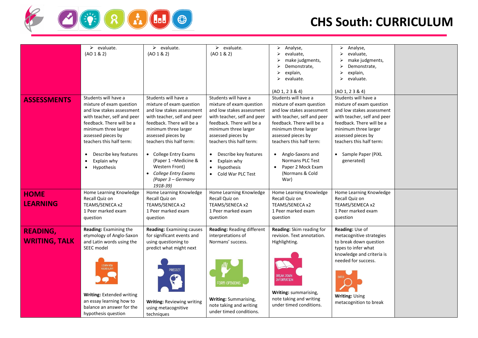

|                                         | $\triangleright$ evaluate.<br>(AO 1 & 2)                                                                                                                                                                                                                                                                         | $\triangleright$ evaluate.<br>(AO 1 & 2)                                                                                                                                                                                                                                                                                                              | $\triangleright$ evaluate.<br>(AO 1 & 2)                                                                                                                                                                                                                                                                                 | $\triangleright$ Analyse,<br>evaluate,<br>⋗<br>make judgments,<br>Demonstrate,<br>explain,<br>➤<br>$\triangleright$ evaluate.<br>(AO 1, 2 3 8 4)                                                                                                                                                                         | Analyse,<br>$\blacktriangleright$<br>evaluate,<br>make judgments,<br>Demonstrate,<br>explain,<br>evaluate.<br>(AO 1, 2 3 8 4)                                                                                                                             |  |
|-----------------------------------------|------------------------------------------------------------------------------------------------------------------------------------------------------------------------------------------------------------------------------------------------------------------------------------------------------------------|-------------------------------------------------------------------------------------------------------------------------------------------------------------------------------------------------------------------------------------------------------------------------------------------------------------------------------------------------------|--------------------------------------------------------------------------------------------------------------------------------------------------------------------------------------------------------------------------------------------------------------------------------------------------------------------------|--------------------------------------------------------------------------------------------------------------------------------------------------------------------------------------------------------------------------------------------------------------------------------------------------------------------------|-----------------------------------------------------------------------------------------------------------------------------------------------------------------------------------------------------------------------------------------------------------|--|
| <b>ASSESSMENTS</b>                      | Students will have a<br>mixture of exam question<br>and low stakes assessment<br>with teacher, self and peer<br>feedback. There will be a<br>minimum three larger<br>assessed pieces by<br>teachers this half term:<br>Describe key features<br>$\bullet$<br>Explain why<br>$\bullet$<br>Hypothesis<br>$\bullet$ | Students will have a<br>mixture of exam question<br>and low stakes assessment<br>with teacher, self and peer<br>feedback. There will be a<br>minimum three larger<br>assessed pieces by<br>teachers this half term:<br>• College Entry Exams<br>(Paper 1-Medicine &<br><b>Western Front)</b><br>College Entry Exams<br>(Paper 3 – Germany<br>1918-39) | Students will have a<br>mixture of exam question<br>and low stakes assessment<br>with teacher, self and peer<br>feedback. There will be a<br>minimum three larger<br>assessed pieces by<br>teachers this half term:<br>Describe key features<br>Explain why<br>$\bullet$<br>Hypothesis<br>$\bullet$<br>Cold War PLC Test | Students will have a<br>mixture of exam question<br>and low stakes assessment<br>with teacher, self and peer<br>feedback. There will be a<br>minimum three larger<br>assessed pieces by<br>teachers this half term:<br>Anglo-Saxons and<br>$\bullet$<br>Normans PLC Test<br>Paper 2 Mock Exam<br>(Normans & Cold<br>War) | Students will have a<br>mixture of exam question<br>and low stakes assessment<br>with teacher, self and peer<br>feedback. There will be a<br>minimum three larger<br>assessed pieces by<br>teachers this half term:<br>• Sample Paper (PiXL<br>generated) |  |
| <b>HOME</b><br><b>LEARNING</b>          | Home Learning Knowledge<br>Recall Quiz on<br>TEAMS/SENECA x2<br>1 Peer marked exam<br>question                                                                                                                                                                                                                   | Home Learning Knowledge<br>Recall Quiz on<br>TEAMS/SENECA x2<br>1 Peer marked exam<br>question                                                                                                                                                                                                                                                        | Home Learning Knowledge<br>Recall Quiz on<br>TEAMS/SENECA x2<br>1 Peer marked exam<br>question                                                                                                                                                                                                                           | Home Learning Knowledge<br>Recall Quiz on<br>TEAMS/SENECA x2<br>1 Peer marked exam<br>question                                                                                                                                                                                                                           | Home Learning Knowledge<br>Recall Quiz on<br>TEAMS/SEMECA x2<br>1 Peer marked exam<br>question                                                                                                                                                            |  |
| <b>READING,</b><br><b>WRITING, TALK</b> | Reading: Examining the<br>etymology of Anglo-Saxon<br>and Latin words using the<br>SEEC model<br><b>LEARN NEW</b><br><b>VOCABULARY</b><br>Writing: Extended writing<br>an essay learning how to<br>balance an answer for the<br>hypothesis question                                                              | <b>Reading: Examining causes</b><br>for significant events and<br>using questioning to<br>predict what might next<br><b>PREDICT</b><br><b>Writing: Reviewing writing</b><br>using metacognitive<br>techniques                                                                                                                                         | Reading: Reading different<br>interpretations of<br>Normans' success.<br>FORM OPINIONS<br>Writing: Summarising,<br>note taking and writing<br>under timed conditions.                                                                                                                                                    | Reading: Skim reading for<br>revision. Text annotation.<br>Highlighting.<br><b>BREAK DOWN</b><br><b>INFORMATION</b><br>Writing: summarising,<br>note taking and writing<br>under timed conditions.                                                                                                                       | Reading: Use of<br>metacognitive strategies<br>to break down question<br>types to infer what<br>knowledge and criteria is<br>needed for success.<br><b>Writing: Using</b><br>metacognition to break                                                       |  |